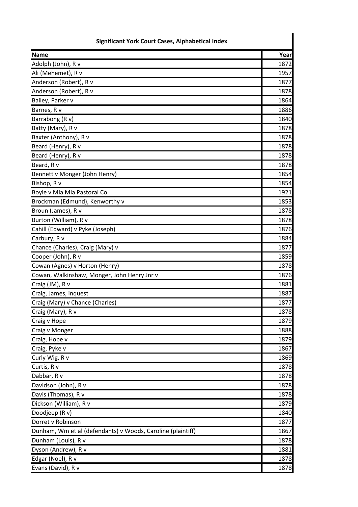| <b>Significant York Court Cases, Alphabetical Index</b>     |      |
|-------------------------------------------------------------|------|
| <b>Name</b>                                                 | Year |
| Adolph (John), R v                                          | 1872 |
| Ali (Mehemet), R v                                          | 1957 |
| Anderson (Robert), R v                                      | 1877 |
| Anderson (Robert), R v                                      | 1878 |
| Bailey, Parker v                                            | 1864 |
| Barnes, R v                                                 | 1886 |
| Barrabong (R v)                                             | 1840 |
| Batty (Mary), R v                                           | 1878 |
| Baxter (Anthony), R v                                       | 1878 |
| Beard (Henry), R v                                          | 1878 |
| Beard (Henry), R v                                          | 1878 |
| Beard, R v                                                  | 1878 |
| Bennett v Monger (John Henry)                               | 1854 |
| Bishop, R v                                                 | 1854 |
| Boyle v Mia Mia Pastoral Co                                 | 1921 |
| Brockman (Edmund), Kenworthy v                              | 1853 |
| Broun (James), R v                                          | 1878 |
| Burton (William), R v                                       | 1878 |
| Cahill (Edward) v Pyke (Joseph)                             | 1876 |
| Carbury, R v                                                | 1884 |
| Chance (Charles), Craig (Mary) v                            | 1877 |
| Cooper (John), R v                                          | 1859 |
| Cowan (Agnes) v Horton (Henry)                              | 1878 |
| Cowan, Walkinshaw, Monger, John Henry Jnr v                 | 1876 |
| Craig (JM), R v                                             | 1881 |
| Craig, James, inquest                                       | 1887 |
| Craig (Mary) v Chance (Charles)                             | 1877 |
| Craig (Mary), R v                                           | 1878 |
| Craig v Hope                                                | 1879 |
| Craig v Monger                                              | 1888 |
| Craig, Hope v                                               | 1879 |
| Craig, Pyke v                                               | 1867 |
| Curly Wig, R v                                              | 1869 |
| Curtis, R v                                                 | 1878 |
| Dabbar, R v                                                 | 1878 |
| Davidson (John), R v                                        | 1878 |
| Davis (Thomas), R v                                         | 1878 |
| Dickson (William), R v                                      | 1879 |
| Doodjeep (R v)                                              | 1840 |
| Dorret v Robinson                                           | 1877 |
| Dunham, Wm et al (defendants) v Woods, Caroline (plaintiff) | 1867 |
| Dunham (Louis), R v                                         | 1878 |
| Dyson (Andrew), R v                                         | 1881 |
| Edgar (Noel), R v                                           | 1878 |
| Evans (David), R v                                          | 1878 |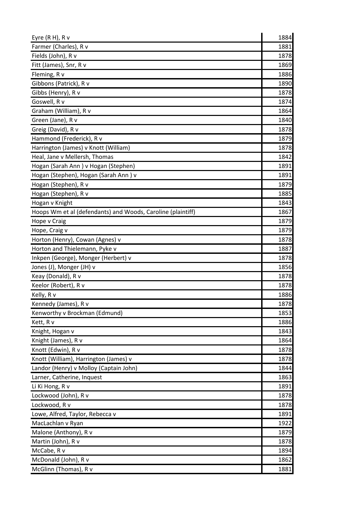| Eyre $(R H)$ , $R V$                                        | 1884 |
|-------------------------------------------------------------|------|
| Farmer (Charles), R v                                       | 1881 |
| Fields (John), R v                                          | 1878 |
| Fitt (James), Snr, R v                                      | 1869 |
| Fleming, R v                                                | 1886 |
| Gibbons (Patrick), R v                                      | 1890 |
| Gibbs (Henry), R v                                          | 1878 |
| Goswell, R v                                                | 1874 |
| Graham (William), R v                                       | 1864 |
| Green (Jane), R v                                           | 1840 |
| Greig (David), R v                                          | 1878 |
| Hammond (Frederick), R v                                    | 1879 |
| Harrington (James) v Knott (William)                        | 1878 |
| Heal, Jane v Mellersh, Thomas                               | 1842 |
| Hogan (Sarah Ann) v Hogan (Stephen)                         | 1891 |
| Hogan (Stephen), Hogan (Sarah Ann) v                        | 1891 |
| Hogan (Stephen), R v                                        | 1879 |
| Hogan (Stephen), R v                                        | 1885 |
| Hogan v Knight                                              | 1843 |
| Hoops Wm et al (defendants) and Woods, Caroline (plaintiff) | 1867 |
| Hope v Craig                                                | 1879 |
| Hope, Craig v                                               | 1879 |
| Horton (Henry), Cowan (Agnes) v                             | 1878 |
| Horton and Thielemann, Pyke v                               | 1887 |
| Inkpen (George), Monger (Herbert) v                         | 1878 |
| Jones (J), Monger (JH) v                                    | 1856 |
| Keay (Donald), R v                                          | 1878 |
| Keelor (Robert), R v                                        | 1878 |
| Kelly, R v                                                  | 1886 |
| Kennedy (James), R v                                        | 1878 |
| Kenworthy v Brockman (Edmund)                               | 1853 |
| Kett, R v                                                   | 1886 |
| Knight, Hogan v                                             | 1843 |
| Knight (James), R v                                         | 1864 |
| Knott (Edwin), R v                                          | 1878 |
| Knott (William), Harrington (James) v                       | 1878 |
| Landor (Henry) v Molloy (Captain John)                      | 1844 |
| Larner, Catherine, Inquest                                  | 1863 |
| Li Ki Hong, R v                                             | 1891 |
| Lockwood (John), R v                                        | 1878 |
| Lockwood, R v                                               | 1878 |
| Lowe, Alfred, Taylor, Rebecca v                             | 1891 |
| MacLachlan v Ryan                                           | 1922 |
| Malone (Anthony), R v                                       | 1879 |
| Martin (John), R v                                          | 1878 |
| McCabe, R v                                                 | 1894 |
| McDonald (John), R v                                        | 1862 |
| McGlinn (Thomas), R v                                       | 1881 |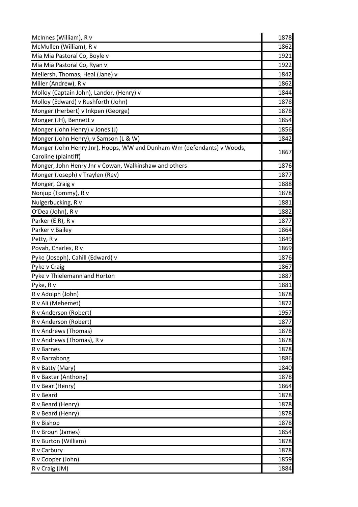| McInnes (William), R v                                                 | 1878 |
|------------------------------------------------------------------------|------|
| McMullen (William), R v                                                | 1862 |
| Mia Mia Pastoral Co, Boyle v                                           | 1921 |
| Mia Mia Pastoral Co, Ryan v                                            | 1922 |
| Mellersh, Thomas, Heal (Jane) v                                        | 1842 |
| Miller (Andrew), R v                                                   | 1862 |
| Molloy (Captain John), Landor, (Henry) v                               | 1844 |
| Molloy (Edward) v Rushforth (John)                                     | 1878 |
| Monger (Herbert) v Inkpen (George)                                     | 1878 |
| Monger (JH), Bennett v                                                 | 1854 |
| Monger (John Henry) v Jones (J)                                        | 1856 |
| Monger (John Henry), v Samson (L & W)                                  | 1842 |
| Monger (John Henry Jnr), Hoops, WW and Dunham Wm (defendants) v Woods, | 1867 |
| Caroline (plaintiff)                                                   |      |
| Monger, John Henry Jnr v Cowan, Walkinshaw and others                  | 1876 |
| Monger (Joseph) v Traylen (Rev)                                        | 1877 |
| Monger, Craig v                                                        | 1888 |
| Nonjup (Tommy), R v                                                    | 1878 |
| Nulgerbucking, R v                                                     | 1881 |
| O'Dea (John), R v                                                      | 1882 |
| Parker (E R), R v                                                      | 1877 |
| Parker v Bailey                                                        | 1864 |
| Petty, R v                                                             | 1849 |
| Povah, Charles, R v                                                    | 1869 |
| Pyke (Joseph), Cahill (Edward) v                                       | 1876 |
| Pyke v Craig                                                           | 1867 |
| Pyke v Thielemann and Horton                                           | 1887 |
| Pyke, R v                                                              | 1881 |
| R v Adolph (John)                                                      | 1878 |
| R v Ali (Mehemet)                                                      | 1872 |
| R v Anderson (Robert)                                                  | 1957 |
| R v Anderson (Robert)                                                  | 1877 |
| R v Andrews (Thomas)                                                   | 1878 |
| R v Andrews (Thomas), R v                                              | 1878 |
| R v Barnes                                                             | 1878 |
| R v Barrabong                                                          | 1886 |
| R v Batty (Mary)                                                       | 1840 |
| R v Baxter (Anthony)                                                   | 1878 |
| R v Bear (Henry)                                                       | 1864 |
| R v Beard                                                              | 1878 |
| R v Beard (Henry)                                                      | 1878 |
| R v Beard (Henry)                                                      | 1878 |
| R v Bishop                                                             | 1878 |
| R v Broun (James)                                                      | 1854 |
| R v Burton (William)                                                   | 1878 |
| R v Carbury                                                            | 1878 |
| R v Cooper (John)                                                      | 1859 |
| R v Craig (JM)                                                         | 1884 |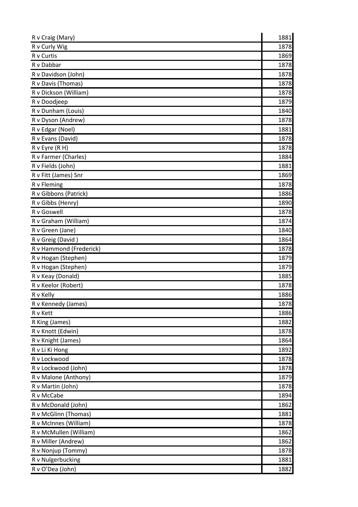| R v Craig (Mary)        | 1881 |
|-------------------------|------|
| R v Curly Wig           | 1878 |
| R v Curtis              | 1869 |
| R v Dabbar              | 1878 |
| R v Davidson (John)     | 1878 |
| R v Davis (Thomas)      | 1878 |
| R v Dickson (William)   | 1878 |
| R v Doodjeep            | 1879 |
| R v Dunham (Louis)      | 1840 |
| R v Dyson (Andrew)      | 1878 |
| R v Edgar (Noel)        | 1881 |
| R v Evans (David)       | 1878 |
| R v Eyre (R H)          | 1878 |
| R v Farmer (Charles)    | 1884 |
| R v Fields (John)       | 1881 |
| R v Fitt (James) Snr    | 1869 |
| R v Fleming             | 1878 |
| R v Gibbons (Patrick)   | 1886 |
| R v Gibbs (Henry)       | 1890 |
| R v Goswell             | 1878 |
| R v Graham (William)    | 1874 |
| R v Green (Jane)        | 1840 |
| R v Greig (David)       | 1864 |
| R v Hammond (Frederick) | 1878 |
| R v Hogan (Stephen)     | 1879 |
| R v Hogan (Stephen)     | 1879 |
| R v Keay (Donald)       | 1885 |
| R v Keelor (Robert)     | 1878 |
| R v Kelly               | 1886 |
| R v Kennedy (James)     | 1878 |
| R v Kett                | 1886 |
| R King (James)          | 1882 |
| R v Knott (Edwin)       | 1878 |
| R v Knight (James)      | 1864 |
| R v Li Ki Hong          | 1892 |
| R v Lockwood            | 1878 |
| R v Lockwood (John)     | 1878 |
| R v Malone (Anthony)    | 1879 |
| R v Martin (John)       | 1878 |
| R v McCabe              | 1894 |
| R v McDonald (John)     | 1862 |
| R v McGlinn (Thomas)    | 1881 |
| R v McInnes (William)   | 1878 |
| R v McMullen (William)  | 1862 |
| R v Miller (Andrew)     | 1862 |
| R v Nonjup (Tommy)      | 1878 |
| R v Nulgerbucking       | 1881 |
| R v O'Dea (John)        | 1882 |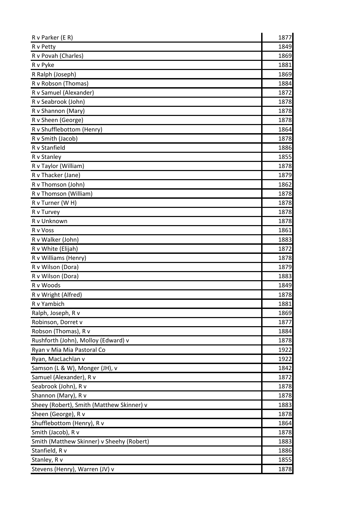| R v Parker (E R)                          | 1877 |
|-------------------------------------------|------|
| R v Petty                                 | 1849 |
| R v Povah (Charles)                       | 1869 |
| R v Pyke                                  | 1881 |
| R Ralph (Joseph)                          | 1869 |
| R v Robson (Thomas)                       | 1884 |
| R v Samuel (Alexander)                    | 1872 |
| R v Seabrook (John)                       | 1878 |
| R v Shannon (Mary)                        | 1878 |
| R v Sheen (George)                        | 1878 |
| R v Shufflebottom (Henry)                 | 1864 |
| R v Smith (Jacob)                         | 1878 |
| R v Stanfield                             | 1886 |
| R v Stanley                               | 1855 |
| R v Taylor (William)                      | 1878 |
| R v Thacker (Jane)                        | 1879 |
| R v Thomson (John)                        | 1862 |
| R v Thomson (William)                     | 1878 |
| R v Turner (W H)                          | 1878 |
| R v Turvey                                | 1878 |
| R v Unknown                               | 1878 |
| R v Voss                                  | 1861 |
| R v Walker (John)                         | 1883 |
| R v White (Elijah)                        | 1872 |
| R v Williams (Henry)                      | 1878 |
| R v Wilson (Dora)                         | 1879 |
| R v Wilson (Dora)                         | 1883 |
| R v Woods                                 | 1849 |
| R v Wright (Alfred)                       | 1878 |
| R v Yambich                               | 1881 |
| Ralph, Joseph, R v                        | 1869 |
| Robinson, Dorret v                        | 1877 |
| Robson (Thomas), R v                      | 1884 |
| Rushforth (John), Molloy (Edward) v       | 1878 |
| Ryan v Mia Mia Pastoral Co                | 1922 |
| Ryan, MacLachlan v                        | 1922 |
| Samson (L & W), Monger (JH), v            | 1842 |
| Samuel (Alexander), R v                   | 1872 |
| Seabrook (John), R v                      | 1878 |
| Shannon (Mary), R v                       | 1878 |
| Sheey (Robert), Smith (Matthew Skinner) v | 1883 |
| Sheen (George), R v                       | 1878 |
| Shufflebottom (Henry), R v                | 1864 |
| Smith (Jacob), R v                        | 1878 |
| Smith (Matthew Skinner) v Sheehy (Robert) | 1883 |
| Stanfield, R v                            | 1886 |
| Stanley, R v                              | 1855 |
| Stevens (Henry), Warren (JV) v            | 1878 |